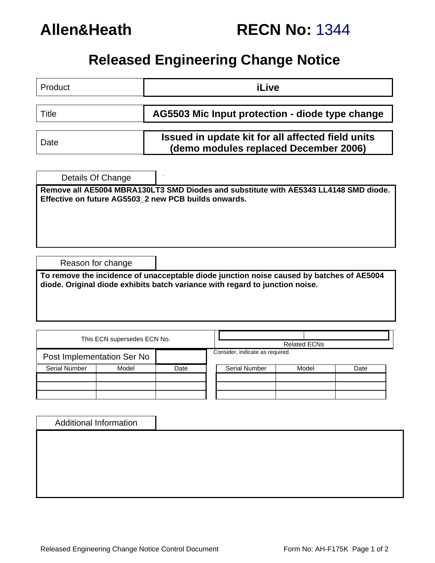

# **Released Engineering Change Notice**

| Product                                                                                                                                      | <b>iLive</b>                                                                                                                                                             |  |  |  |  |  |  |  |
|----------------------------------------------------------------------------------------------------------------------------------------------|--------------------------------------------------------------------------------------------------------------------------------------------------------------------------|--|--|--|--|--|--|--|
| Title                                                                                                                                        | AG5503 Mic Input protection - diode type change                                                                                                                          |  |  |  |  |  |  |  |
| Date                                                                                                                                         | Issued in update kit for all affected field units<br>(demo modules replaced December 2006)                                                                               |  |  |  |  |  |  |  |
| Details Of Change                                                                                                                            |                                                                                                                                                                          |  |  |  |  |  |  |  |
| Remove all AE5004 MBRA130LT3 SMD Diodes and substitute with AE5343 LL4148 SMD diode.<br>Effective on future AG5503_2 new PCB builds onwards. |                                                                                                                                                                          |  |  |  |  |  |  |  |
|                                                                                                                                              |                                                                                                                                                                          |  |  |  |  |  |  |  |
|                                                                                                                                              |                                                                                                                                                                          |  |  |  |  |  |  |  |
| Reason for change                                                                                                                            |                                                                                                                                                                          |  |  |  |  |  |  |  |
|                                                                                                                                              | To remove the incidence of unacceptable diode junction noise caused by batches of AE5004<br>diode. Original diode exhibits batch variance with regard to junction noise. |  |  |  |  |  |  |  |
|                                                                                                                                              |                                                                                                                                                                          |  |  |  |  |  |  |  |

|                      | This ECN supersedes ECN No. |                                 |                      | <b>Related ECNs</b> |       |      |
|----------------------|-----------------------------|---------------------------------|----------------------|---------------------|-------|------|
|                      | Post Implementation Ser No  | Consider, indicate as required. |                      |                     |       |      |
| <b>Serial Number</b> | Model                       | Date                            | <b>Serial Number</b> |                     | Model | Date |
|                      |                             |                                 |                      |                     |       |      |

| <b>Additional Information</b> |  |
|-------------------------------|--|
|                               |  |
|                               |  |
|                               |  |
|                               |  |